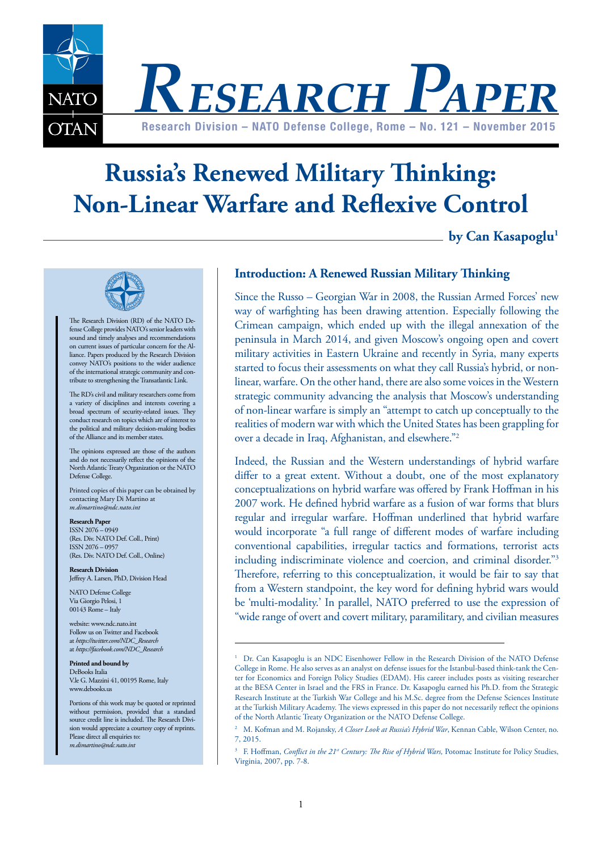

# **Russia's Renewed Military Thinking: Non-Linear Warfare and Reflexive Control**

by Can Kasapoglu<sup>1</sup>



The Research Division (RD) of the NATO Defense College provides NATO's senior leaders with sound and timely analyses and recommendations on current issues of particular concern for the Alliance. Papers produced by the Research Division convey NATO's positions to the wider audience of the international strategic community and contribute to strengthening the Transatlantic Link.

The RD's civil and military researchers come from a variety of disciplines and interests covering a broad spectrum of security-related issues. They conduct research on topics which are of interest to the political and military decision-making bodies of the Alliance and its member states.

The opinions expressed are those of the authors and do not necessarily reflect the opinions of the North Atlantic Treaty Organization or the NATO Defense College.

Printed copies of this paper can be obtained by contacting Mary Di Martino at *m.dimartino@ndc.nato.int* 

#### **Research Paper**

ISSN 2076 – 0949 (Res. Div. NATO Def. Coll., Print) ISSN 2076 – 0957 (Res. Div. NATO Def. Coll., Online)

**Research Division** Jeffrey A. Larsen, PhD, Division Head

NATO Defense College Via Giorgio Pelosi, 1 00143 Rome – Italy

website: www.ndc.nato.int Follow us on Twitter and Facebook at *https://twitter.com/NDC\_Research* at *https://facebook.com/NDC\_Research*

**Printed and bound by** DeBooks Italia V.le G. Mazzini 41, 00195 Rome, Italy www.debooks.us

Portions of this work may be quoted or reprinted without permission, provided that a standard source credit line is included. The Research Division would appreciate a courtesy copy of reprints. Please direct all enquiries to: *m.dimartino@ndc.nato.int* 

#### **Introduction: A Renewed Russian Military Thinking**

Since the Russo – Georgian War in 2008, the Russian Armed Forces' new way of warfighting has been drawing attention. Especially following the Crimean campaign, which ended up with the illegal annexation of the peninsula in March 2014, and given Moscow's ongoing open and covert military activities in Eastern Ukraine and recently in Syria, many experts started to focus their assessments on what they call Russia's hybrid, or nonlinear, warfare. On the other hand, there are also some voices in the Western strategic community advancing the analysis that Moscow's understanding of non-linear warfare is simply an "attempt to catch up conceptually to the realities of modern war with which the United States has been grappling for over a decade in Iraq, Afghanistan, and elsewhere."2

Indeed, the Russian and the Western understandings of hybrid warfare differ to a great extent. Without a doubt, one of the most explanatory conceptualizations on hybrid warfare was offered by Frank Hoffman in his 2007 work. He defined hybrid warfare as a fusion of war forms that blurs regular and irregular warfare. Hoffman underlined that hybrid warfare would incorporate "a full range of different modes of warfare including conventional capabilities, irregular tactics and formations, terrorist acts including indiscriminate violence and coercion, and criminal disorder."3 Therefore, referring to this conceptualization, it would be fair to say that from a Western standpoint, the key word for defining hybrid wars would be 'multi-modality.' In parallel, NATO preferred to use the expression of "wide range of overt and covert military, paramilitary, and civilian measures

<sup>1</sup> Dr. Can Kasapoglu is an NDC Eisenhower Fellow in the Research Division of the NATO Defense College in Rome. He also serves as an analyst on defense issues for the Istanbul-based think-tank the Center for Economics and Foreign Policy Studies (EDAM). His career includes posts as visiting researcher at the BESA Center in Israel and the FRS in France. Dr. Kasapoglu earned his Ph.D. from the Strategic Research Institute at the Turkish War College and his M.Sc. degree from the Defense Sciences Institute at the Turkish Military Academy. The views expressed in this paper do not necessarily reflect the opinions of the North Atlantic Treaty Organization or the NATO Defense College.

<sup>2</sup> M. Kofman and M. Rojansky, *A Closer Look at Russia's Hybrid War*, Kennan Cable, Wilson Center, no. 7, 2015.

<sup>&</sup>lt;sup>3</sup> F. Hoffman, *Conflict in the 21<sup>st</sup> Century: The Rise of Hybrid Wars*, Potomac Institute for Policy Studies, Virginia, 2007, pp. 7-8.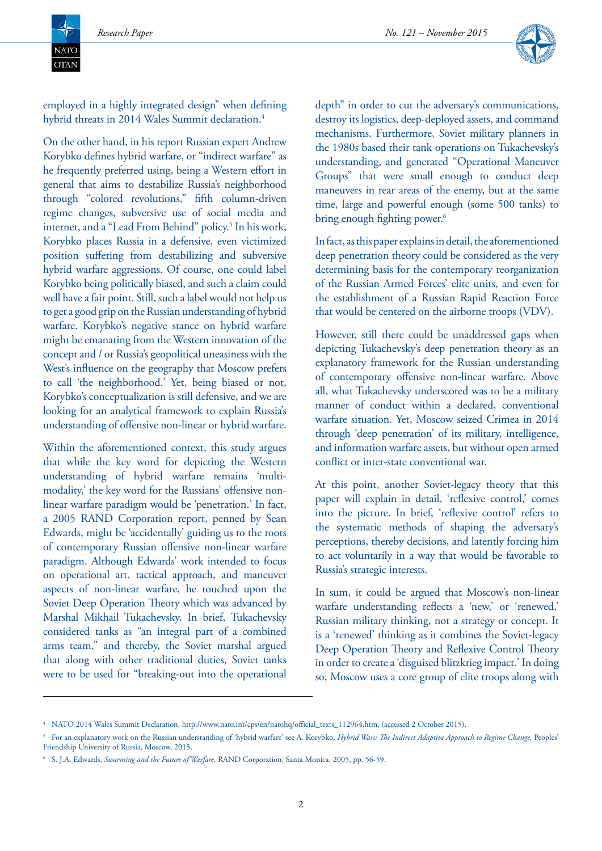**NATC**  $\overline{\text{OTAN}}$ 



employed in a highly integrated design" when defining hybrid threats in 2014 Wales Summit declaration.<sup>4</sup>

On the other hand, in his report Russian expert Andrew Korybko defines hybrid warfare, or "indirect warfare" as he frequently preferred using, being a Western effort in general that aims to destabilize Russia's neighborhood through "colored revolutions," fifth column-driven regime changes, subversive use of social media and internet, and a "Lead From Behind" policy.<sup>5</sup> In his work, Korybko places Russia in a defensive, even victimized position suffering from destabilizing and subversive hybrid warfare aggressions. Of course, one could label Korybko being politically biased, and such a claim could well have a fair point. Still, such a label would not help us to get a good grip on the Russian understanding of hybrid warfare. Korybko's negative stance on hybrid warfare might be emanating from the Western innovation of the concept and / or Russia's geopolitical uneasiness with the West's influence on the geography that Moscow prefers to call 'the neighborhood.' Yet, being biased or not, Korybko's conceptualization is still defensive, and we are looking for an analytical framework to explain Russia's understanding of offensive non-linear or hybrid warfare.

Within the aforementioned context, this study argues that while the key word for depicting the Western understanding of hybrid warfare remains 'multimodality,' the key word for the Russians' offensive nonlinear warfare paradigm would be 'penetration.' In fact, a 2005 RAND Corporation report, penned by Sean Edwards, might be 'accidentally' guiding us to the roots of contemporary Russian offensive non-linear warfare paradigm. Although Edwards' work intended to focus on operational art, tactical approach, and maneuver aspects of non-linear warfare, he touched upon the Soviet Deep Operation Theory which was advanced by Marshal Mikhail Tukachevsky. In brief, Tukachevsky considered tanks as "an integral part of a combined arms team," and thereby, the Soviet marshal argued that along with other traditional duties, Soviet tanks were to be used for "breaking-out into the operational

depth" in order to cut the adversary's communications, destroy its logistics, deep-deployed assets, and command mechanisms. Furthermore, Soviet military planners in the 1980s based their tank operations on Tukachevsky's understanding, and generated "Operational Maneuver Groups" that were small enough to conduct deep maneuvers in rear areas of the enemy, but at the same time, large and powerful enough (some 500 tanks) to bring enough fighting power.<sup>6</sup>

In fact, as this paper explains in detail, the aforementioned deep penetration theory could be considered as the very determining basis for the contemporary reorganization of the Russian Armed Forces' elite units, and even for the establishment of a Russian Rapid Reaction Force that would be centered on the airborne troops (VDV).

However, still there could be unaddressed gaps when depicting Tukachevsky's deep penetration theory as an explanatory framework for the Russian understanding of contemporary offensive non-linear warfare. Above all, what Tukachevsky underscored was to be a military manner of conduct within a declared, conventional warfare situation. Yet, Moscow seized Crimea in 2014 through 'deep penetration' of its military, intelligence, and information warfare assets, but without open armed conflict or inter-state conventional war.

At this point, another Soviet-legacy theory that this paper will explain in detail, 'reflexive control,' comes into the picture. In brief, 'reflexive control' refers to the systematic methods of shaping the adversary's perceptions, thereby decisions, and latently forcing him to act voluntarily in a way that would be favorable to Russia's strategic interests.

In sum, it could be argued that Moscow's non-linear warfare understanding reflects a 'new,' or 'renewed,' Russian military thinking, not a strategy or concept. It is a 'renewed' thinking as it combines the Soviet-legacy Deep Operation Theory and Reflexive Control Theory in order to create a 'disguised blitzkrieg impact.' In doing so, Moscow uses a core group of elite troops along with

<sup>4</sup> NATO 2014 Wales Summit Declaration, http://www.nato.int/cps/en/natohq/official\_texts\_112964.htm, (accessed 2 October 2015).

<sup>5</sup> For an explanatory work on the Russian understanding of 'hybrid warfare' see A. Korybko, *Hybrid Wars: The Indirect Adaptive Approach to Regime Change,* Peoples' Friendship University of Russia, Moscow, 2015.

<sup>6</sup> S. J.A. Edwards, *Swarming and the Future of Warfare,* RAND Corporation, Santa Monica, 2005, pp. 56-59.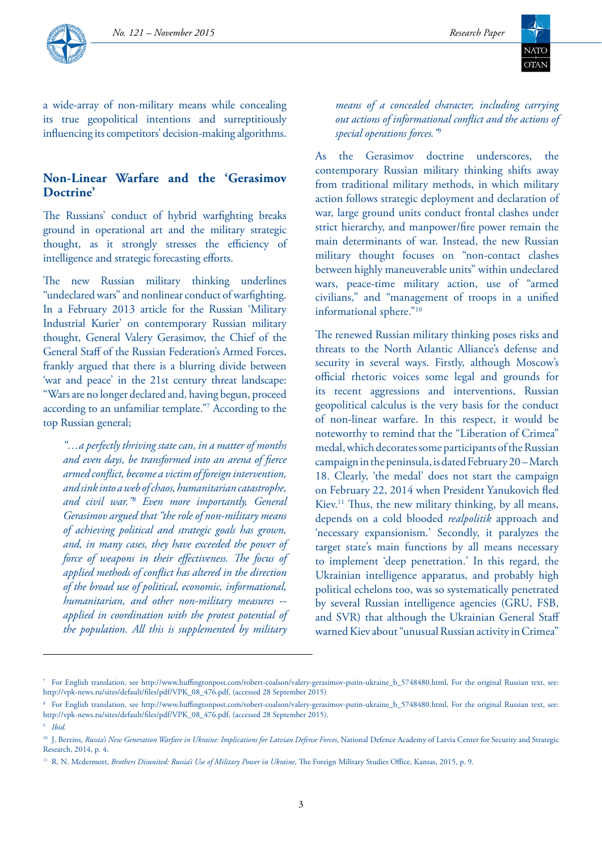



a wide-array of non-military means while concealing its true geopolitical intentions and surreptitiously influencing its competitors' decision-making algorithms.

### **Non-Linear Warfare and the 'Gerasimov Doctrine'**

The Russians' conduct of hybrid warfighting breaks ground in operational art and the military strategic thought, as it strongly stresses the efficiency of intelligence and strategic forecasting efforts.

The new Russian military thinking underlines "undeclared wars" and nonlinear conduct of warfighting. In a February 2013 article for the Russian 'Military Industrial Kurier' on contemporary Russian military thought, General Valery Gerasimov, the Chief of the General Staff of the Russian Federation's Armed Forces, frankly argued that there is a blurring divide between 'war and peace' in the 21st century threat landscape: "Wars are no longer declared and, having begun, proceed according to an unfamiliar template."7 According to the top Russian general;

*"…a perfectly thriving state can, in a matter of months and even days, be transformed into an arena of fierce armed conflict, become a victim of foreign intervention, and sink into a web of chaos, humanitarian catastrophe, and civil war."8 Even more importantly, General Gerasimov argued that "the role of non-military means of achieving political and strategic goals has grown, and, in many cases, they have exceeded the power of force of weapons in their effectiveness. The focus of applied methods of conflict has altered in the direction of the broad use of political, economic, informational, humanitarian, and other non-military measures - applied in coordination with the protest potential of the population. All this is supplemented by military* 

*means of a concealed character, including carrying out actions of informational conflict and the actions of special operations forces."*<sup>9</sup>

As the Gerasimov doctrine underscores, the contemporary Russian military thinking shifts away from traditional military methods, in which military action follows strategic deployment and declaration of war, large ground units conduct frontal clashes under strict hierarchy, and manpower/fire power remain the main determinants of war. Instead, the new Russian military thought focuses on "non-contact clashes between highly maneuverable units" within undeclared wars, peace-time military action, use of "armed civilians," and "management of troops in a unified informational sphere."10

The renewed Russian military thinking poses risks and threats to the North Atlantic Alliance's defense and security in several ways. Firstly, although Moscow's official rhetoric voices some legal and grounds for its recent aggressions and interventions, Russian geopolitical calculus is the very basis for the conduct of non-linear warfare. In this respect, it would be noteworthy to remind that the "Liberation of Crimea" medal, which decorates some participants of the Russian campaign in the peninsula, is dated February 20 – March 18. Clearly, 'the medal' does not start the campaign on February 22, 2014 when President Yanukovich fled Kiev.11 Thus, the new military thinking, by all means, depends on a cold blooded *realpolitik* approach and 'necessary expansionism.' Secondly, it paralyzes the target state's main functions by all means necessary to implement 'deep penetration.' In this regard, the Ukrainian intelligence apparatus, and probably high political echelons too, was so systematically penetrated by several Russian intelligence agencies (GRU, FSB, and SVR) that although the Ukrainian General Staff warned Kiev about "unusual Russian activity in Crimea"

<sup>7</sup> For English translation, see http://www.huffingtonpost.com/robert-coalson/valery-gerasimov-putin-ukraine\_b\_5748480.html, For the original Russian text, see: http://vpk-news.ru/sites/default/files/pdf/VPK\_08\_476.pdf, (accessed 28 September 2015)

<sup>8</sup> For English translation, see http://www.huffingtonpost.com/robert-coalson/valery-gerasimov-putin-ukraine\_b\_5748480.html, For the original Russian text, see: http://vpk-news.ru/sites/default/files/pdf/VPK\_08\_476.pdf, (accessed 28 September 2015). <sup>9</sup> *Ibid.*

<sup>&</sup>lt;sup>10</sup> J. Berzins, *Russia's New Generation Warfare in Ukraine: Implications for Latvian Defense Forces*, National Defence Academy of Latvia Center for Security and Strategic Research, 2014, p. 4.

<sup>&</sup>lt;sup>11</sup> R. N. Mcdermott, *Brothers Disunited: Russia's Use of Military Power in Ukraine*, The Foreign Military Studies Office, Kansas, 2015, p. 9.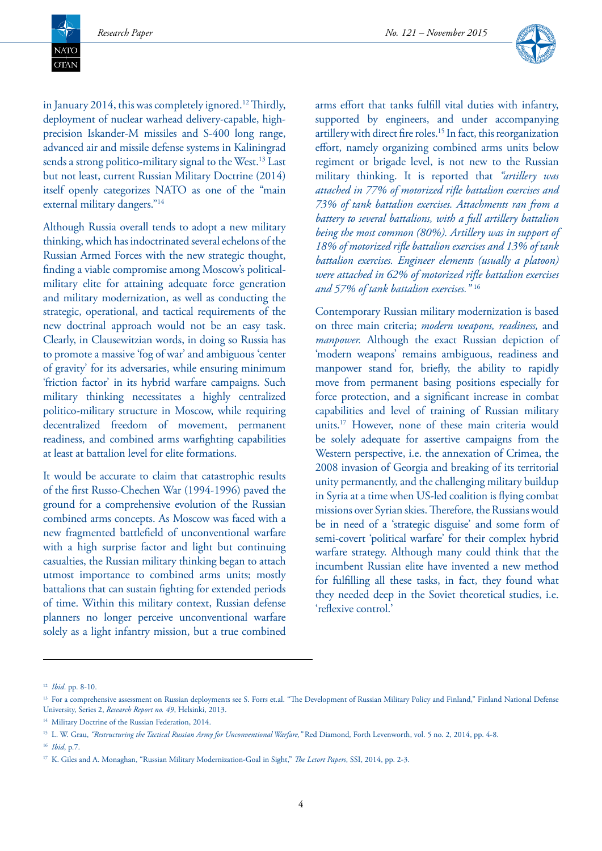**NATO**  $\overline{\text{OTAN}}$ 



in January 2014, this was completely ignored.<sup>12</sup> Thirdly, deployment of nuclear warhead delivery-capable, highprecision Iskander-M missiles and S-400 long range, advanced air and missile defense systems in Kaliningrad sends a strong politico-military signal to the West.<sup>13</sup> Last but not least, current Russian Military Doctrine (2014) itself openly categorizes NATO as one of the "main external military dangers."14

Although Russia overall tends to adopt a new military thinking, which has indoctrinated several echelons of the Russian Armed Forces with the new strategic thought, finding a viable compromise among Moscow's politicalmilitary elite for attaining adequate force generation and military modernization, as well as conducting the strategic, operational, and tactical requirements of the new doctrinal approach would not be an easy task. Clearly, in Clausewitzian words, in doing so Russia has to promote a massive 'fog of war' and ambiguous 'center of gravity' for its adversaries, while ensuring minimum 'friction factor' in its hybrid warfare campaigns. Such military thinking necessitates a highly centralized politico-military structure in Moscow, while requiring decentralized freedom of movement, permanent readiness, and combined arms warfighting capabilities at least at battalion level for elite formations.

It would be accurate to claim that catastrophic results of the first Russo-Chechen War (1994-1996) paved the ground for a comprehensive evolution of the Russian combined arms concepts. As Moscow was faced with a new fragmented battlefield of unconventional warfare with a high surprise factor and light but continuing casualties, the Russian military thinking began to attach utmost importance to combined arms units; mostly battalions that can sustain fighting for extended periods of time. Within this military context, Russian defense planners no longer perceive unconventional warfare solely as a light infantry mission, but a true combined

arms effort that tanks fulfill vital duties with infantry, supported by engineers, and under accompanying artillery with direct fire roles.15 In fact, this reorganization effort, namely organizing combined arms units below regiment or brigade level, is not new to the Russian military thinking. It is reported that *"artillery was attached in 77% of motorized rifle battalion exercises and 73% of tank battalion exercises. Attachments ran from a battery to several battalions, with a full artillery battalion being the most common (80%). Artillery was in support of 18% of motorized rifle battalion exercises and 13% of tank battalion exercises. Engineer elements (usually a platoon) were attached in 62% of motorized rifle battalion exercises and 57% of tank battalion exercises."* <sup>16</sup>

Contemporary Russian military modernization is based on three main criteria; *modern weapons, readiness,* and *manpower.* Although the exact Russian depiction of 'modern weapons' remains ambiguous, readiness and manpower stand for, briefly, the ability to rapidly move from permanent basing positions especially for force protection, and a significant increase in combat capabilities and level of training of Russian military units.17 However, none of these main criteria would be solely adequate for assertive campaigns from the Western perspective, i.e. the annexation of Crimea, the 2008 invasion of Georgia and breaking of its territorial unity permanently, and the challenging military buildup in Syria at a time when US-led coalition is flying combat missions over Syrian skies. Therefore, the Russians would be in need of a 'strategic disguise' and some form of semi-covert 'political warfare' for their complex hybrid warfare strategy. Although many could think that the incumbent Russian elite have invented a new method for fulfilling all these tasks, in fact, they found what they needed deep in the Soviet theoretical studies, i.e. 'reflexive control.'

<sup>12</sup> *Ibid*. pp. 8-10.

<sup>&</sup>lt;sup>13</sup> For a comprehensive assessment on Russian deployments see S. Forrs et.al. "The Development of Russian Military Policy and Finland," Finland National Defense University, Series 2, *Research Report no. 49*, Helsinki, 2013.

<sup>&</sup>lt;sup>14</sup> Military Doctrine of the Russian Federation, 2014.

<sup>15</sup> L. W. Grau, *"Restructuring the Tactical Russian Army for Unconventional Warfare,"* Red Diamond*,* Forth Levenworth, vol. 5 no. 2, 2014, pp. 4-8. <sup>16</sup> *Ibid*, p.7.

<sup>17</sup> K. Giles and A. Monaghan, "Russian Military Modernization-Goal in Sight," *The Letort Papers*, SSI, 2014, pp. 2-3.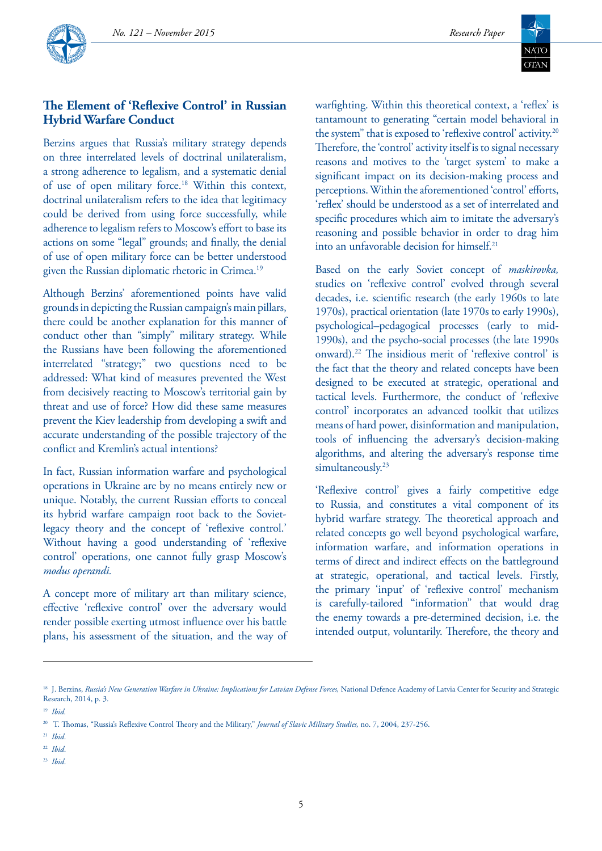



# **The Element of 'Reflexive Control' in Russian Hybrid Warfare Conduct**

Berzins argues that Russia's military strategy depends on three interrelated levels of doctrinal unilateralism, a strong adherence to legalism, and a systematic denial of use of open military force.18 Within this context, doctrinal unilateralism refers to the idea that legitimacy could be derived from using force successfully, while adherence to legalism refers to Moscow's effort to base its actions on some "legal" grounds; and finally, the denial of use of open military force can be better understood given the Russian diplomatic rhetoric in Crimea.<sup>19</sup>

Although Berzins' aforementioned points have valid grounds in depicting the Russian campaign's main pillars, there could be another explanation for this manner of conduct other than "simply" military strategy. While the Russians have been following the aforementioned interrelated "strategy;" two questions need to be addressed: What kind of measures prevented the West from decisively reacting to Moscow's territorial gain by threat and use of force? How did these same measures prevent the Kiev leadership from developing a swift and accurate understanding of the possible trajectory of the conflict and Kremlin's actual intentions?

In fact, Russian information warfare and psychological operations in Ukraine are by no means entirely new or unique. Notably, the current Russian efforts to conceal its hybrid warfare campaign root back to the Sovietlegacy theory and the concept of 'reflexive control.' Without having a good understanding of 'reflexive control' operations, one cannot fully grasp Moscow's *modus operandi.* 

A concept more of military art than military science, effective 'reflexive control' over the adversary would render possible exerting utmost influence over his battle plans, his assessment of the situation, and the way of warfighting. Within this theoretical context, a 'reflex' is tantamount to generating "certain model behavioral in the system" that is exposed to 'reflexive control' activity.20 Therefore, the 'control' activity itself is to signal necessary reasons and motives to the 'target system' to make a significant impact on its decision-making process and perceptions. Within the aforementioned 'control' efforts, 'reflex' should be understood as a set of interrelated and specific procedures which aim to imitate the adversary's reasoning and possible behavior in order to drag him into an unfavorable decision for himself.21

Based on the early Soviet concept of *maskirovka,*  studies on 'reflexive control' evolved through several decades, i.e. scientific research (the early 1960s to late 1970s), practical orientation (late 1970s to early 1990s), psychological–pedagogical processes (early to mid-1990s), and the psycho-social processes (the late 1990s onward).22 The insidious merit of 'reflexive control' is the fact that the theory and related concepts have been designed to be executed at strategic, operational and tactical levels. Furthermore, the conduct of 'reflexive control' incorporates an advanced toolkit that utilizes means of hard power, disinformation and manipulation, tools of influencing the adversary's decision-making algorithms, and altering the adversary's response time simultaneously.<sup>23</sup>

'Reflexive control' gives a fairly competitive edge to Russia, and constitutes a vital component of its hybrid warfare strategy. The theoretical approach and related concepts go well beyond psychological warfare, information warfare, and information operations in terms of direct and indirect effects on the battleground at strategic, operational, and tactical levels. Firstly, the primary 'input' of 'reflexive control' mechanism is carefully-tailored "information" that would drag the enemy towards a pre-determined decision, i.e. the intended output, voluntarily. Therefore, the theory and

<sup>23</sup> *Ibid*.

<sup>&</sup>lt;sup>18</sup> J. Berzins, *Russia's New Generation Warfare in Ukraine: Implications for Latvian Defense Forces*, National Defence Academy of Latvia Center for Security and Strategic Research, 2014, p. 3.

<sup>19</sup> *Ibid.*

<sup>20</sup> T. Thomas, "Russia's Reflexive Control Theory and the Military," *Journal of Slavic Military Studies,* no. 7, 2004, 237-256.

<sup>21</sup> *Ibid*.

<sup>22</sup> *Ibid*.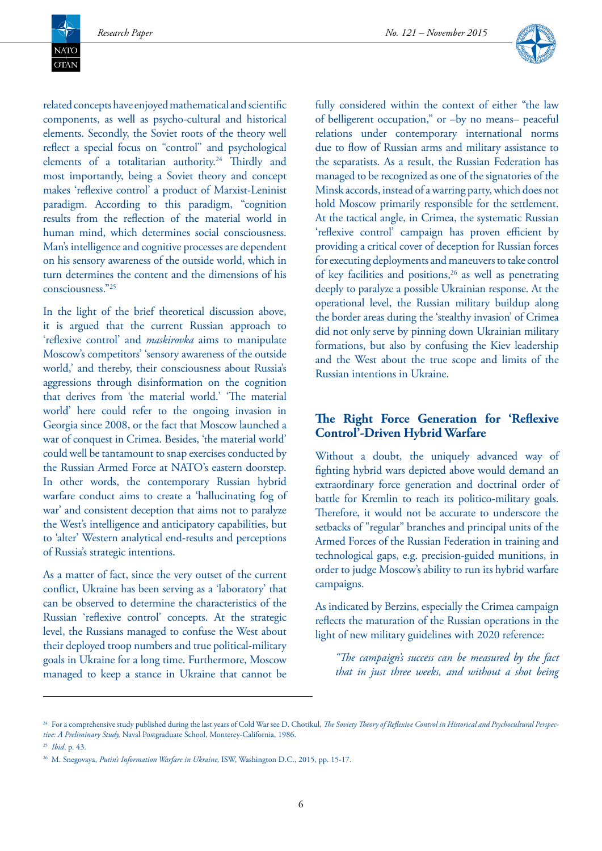**NATO**  $\overline{\text{OTAN}}$ 



related concepts have enjoyed mathematical and scientific components, as well as psycho-cultural and historical elements. Secondly, the Soviet roots of the theory well reflect a special focus on "control" and psychological elements of a totalitarian authority.<sup>24</sup> Thirdly and most importantly, being a Soviet theory and concept makes 'reflexive control' a product of Marxist-Leninist paradigm. According to this paradigm, "cognition results from the reflection of the material world in human mind, which determines social consciousness. Man's intelligence and cognitive processes are dependent on his sensory awareness of the outside world, which in turn determines the content and the dimensions of his consciousness."25

In the light of the brief theoretical discussion above, it is argued that the current Russian approach to 'reflexive control' and *maskirovka* aims to manipulate Moscow's competitors' 'sensory awareness of the outside world,' and thereby, their consciousness about Russia's aggressions through disinformation on the cognition that derives from 'the material world.' 'The material world' here could refer to the ongoing invasion in Georgia since 2008, or the fact that Moscow launched a war of conquest in Crimea. Besides, 'the material world' could well be tantamount to snap exercises conducted by the Russian Armed Force at NATO's eastern doorstep. In other words, the contemporary Russian hybrid warfare conduct aims to create a 'hallucinating fog of war' and consistent deception that aims not to paralyze the West's intelligence and anticipatory capabilities, but to 'alter' Western analytical end-results and perceptions of Russia's strategic intentions.

As a matter of fact, since the very outset of the current conflict, Ukraine has been serving as a 'laboratory' that can be observed to determine the characteristics of the Russian 'reflexive control' concepts. At the strategic level, the Russians managed to confuse the West about their deployed troop numbers and true political-military goals in Ukraine for a long time. Furthermore, Moscow managed to keep a stance in Ukraine that cannot be

fully considered within the context of either "the law of belligerent occupation," or –by no means– peaceful relations under contemporary international norms due to flow of Russian arms and military assistance to the separatists. As a result, the Russian Federation has managed to be recognized as one of the signatories of the Minsk accords, instead of a warring party, which does not hold Moscow primarily responsible for the settlement. At the tactical angle, in Crimea, the systematic Russian 'reflexive control' campaign has proven efficient by providing a critical cover of deception for Russian forces for executing deployments and maneuvers to take control of key facilities and positions,<sup>26</sup> as well as penetrating deeply to paralyze a possible Ukrainian response. At the operational level, the Russian military buildup along the border areas during the 'stealthy invasion' of Crimea did not only serve by pinning down Ukrainian military formations, but also by confusing the Kiev leadership and the West about the true scope and limits of the Russian intentions in Ukraine.

#### **The Right Force Generation for 'Reflexive Control'-Driven Hybrid Warfare**

Without a doubt, the uniquely advanced way of fighting hybrid wars depicted above would demand an extraordinary force generation and doctrinal order of battle for Kremlin to reach its politico-military goals. Therefore, it would not be accurate to underscore the setbacks of "regular" branches and principal units of the Armed Forces of the Russian Federation in training and technological gaps, e.g. precision-guided munitions, in order to judge Moscow's ability to run its hybrid warfare campaigns.

As indicated by Berzins, especially the Crimea campaign reflects the maturation of the Russian operations in the light of new military guidelines with 2020 reference:

*"The campaign's success can be measured by the fact that in just three weeks, and without a shot being* 

<sup>&</sup>lt;sup>24</sup> For a comprehensive study published during the last years of Cold War see D. Chotikul, *The Soviety Theory of Reflexive Control in Historical and Psychocultural Perspective: A Preliminary Study,* Naval Postgraduate School, Monterey-California, 1986. <sup>25</sup> *Ibid*, p. 43.

<sup>26</sup> M. Snegovaya, *Putin's Information Warfare in Ukraine,* ISW, Washington D.C., 2015, pp. 15-17.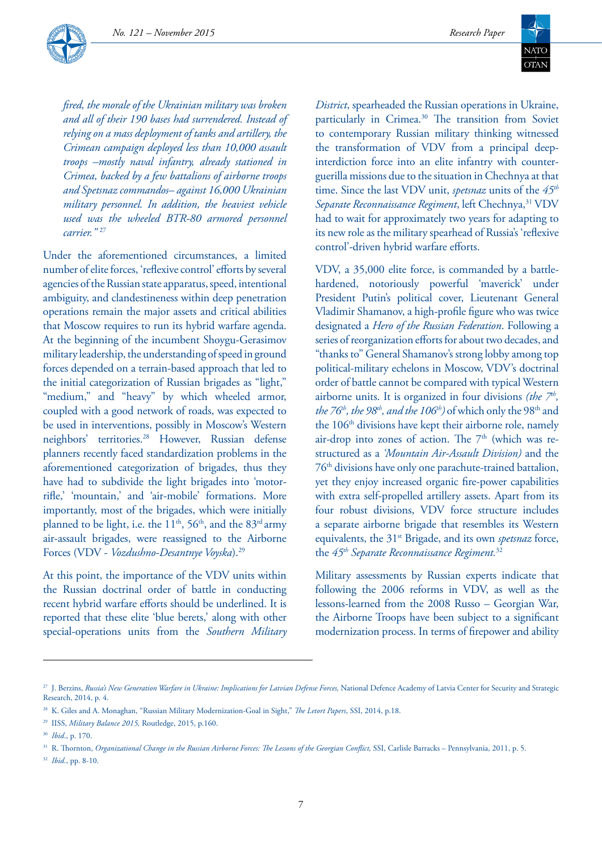*No. 121 – November 2015 Research Paper*



*fired, the morale of the Ukrainian military was broken and all of their 190 bases had surrendered. Instead of relying on a mass deployment of tanks and artillery, the Crimean campaign deployed less than 10,000 assault troops –mostly naval infantry, already stationed in Crimea, backed by a few battalions of airborne troops and Spetsnaz commandos– against 16,000 Ukrainian military personnel. In addition, the heaviest vehicle used was the wheeled BTR-80 armored personnel carrier."* <sup>27</sup>

Under the aforementioned circumstances, a limited number of elite forces, 'reflexive control' efforts by several agencies of the Russian state apparatus, speed, intentional ambiguity, and clandestineness within deep penetration operations remain the major assets and critical abilities that Moscow requires to run its hybrid warfare agenda. At the beginning of the incumbent Shoygu-Gerasimov military leadership, the understanding of speed in ground forces depended on a terrain-based approach that led to the initial categorization of Russian brigades as "light," "medium," and "heavy" by which wheeled armor, coupled with a good network of roads, was expected to be used in interventions, possibly in Moscow's Western neighbors' territories.28 However, Russian defense planners recently faced standardization problems in the aforementioned categorization of brigades, thus they have had to subdivide the light brigades into 'motorrifle,' 'mountain,' and 'air-mobile' formations. More importantly, most of the brigades, which were initially planned to be light, i.e. the  $11<sup>th</sup>$ , 56<sup>th</sup>, and the 83<sup>rd</sup> army air-assault brigades, were reassigned to the Airborne Forces (VDV - *Vozdushno-Desantnye Voyska*).29

At this point, the importance of the VDV units within the Russian doctrinal order of battle in conducting recent hybrid warfare efforts should be underlined. It is reported that these elite 'blue berets,' along with other special-operations units from the *Southern Military* 



*District*, spearheaded the Russian operations in Ukraine, particularly in Crimea.<sup>30</sup> The transition from Soviet to contemporary Russian military thinking witnessed the transformation of VDV from a principal deepinterdiction force into an elite infantry with counterguerilla missions due to the situation in Chechnya at that time. Since the last VDV unit, *spetsnaz* units of the *45th* Separate Reconnaissance Regiment, left Chechnya,<sup>31</sup> VDV had to wait for approximately two years for adapting to its new role as the military spearhead of Russia's 'reflexive control'-driven hybrid warfare efforts.

VDV, a 35,000 elite force, is commanded by a battlehardened, notoriously powerful 'maverick' under President Putin's political cover, Lieutenant General Vladimir Shamanov, a high-profile figure who was twice designated a *Hero of the Russian Federation*. Following a series of reorganization efforts for about two decades, and "thanks to" General Shamanov's strong lobby among top political-military echelons in Moscow, VDV's doctrinal order of battle cannot be compared with typical Western airborne units. It is organized in four divisions *(the*  $7<sup>th</sup>$ , the 76<sup>th</sup>, the 98<sup>th</sup>, and the 106<sup>th</sup>) of which only the 98<sup>th</sup> and the 106<sup>th</sup> divisions have kept their airborne role, namely air-drop into zones of action. The  $7<sup>th</sup>$  (which was restructured as a *'Mountain Air-Assault Division)* and the 76th divisions have only one parachute-trained battalion, yet they enjoy increased organic fire-power capabilities with extra self-propelled artillery assets. Apart from its four robust divisions, VDV force structure includes a separate airborne brigade that resembles its Western equivalents, the 31st Brigade, and its own *spetsnaz* force, the *45th Separate Reconnaissance Regiment.*<sup>32</sup>

Military assessments by Russian experts indicate that following the 2006 reforms in VDV, as well as the lessons-learned from the 2008 Russo – Georgian War, the Airborne Troops have been subject to a significant modernization process. In terms of firepower and ability

<sup>&</sup>lt;sup>27</sup> J. Berzins, *Russia's New Generation Warfare in Ukraine: Implications for Latvian Defense Forces*, National Defence Academy of Latvia Center for Security and Strategic Research, 2014, p. 4.

<sup>28</sup> K. Giles and A. Monaghan, "Russian Military Modernization-Goal in Sight," *The Letort Papers*, SSI, 2014, p.18.

<sup>29</sup> IISS, *Military Balance 2015,* Routledge, 2015, p.160.

<sup>30</sup> *Ibid*., p. 170.

<sup>31</sup> R. Thornton, *Organizational Change in the Russian Airborne Forces: The Lessons of the Georgian Conflict,* SSI, Carlisle Barracks – Pennsylvania, 2011, p. 5.

<sup>32</sup> *Ibid.*, pp. 8-10.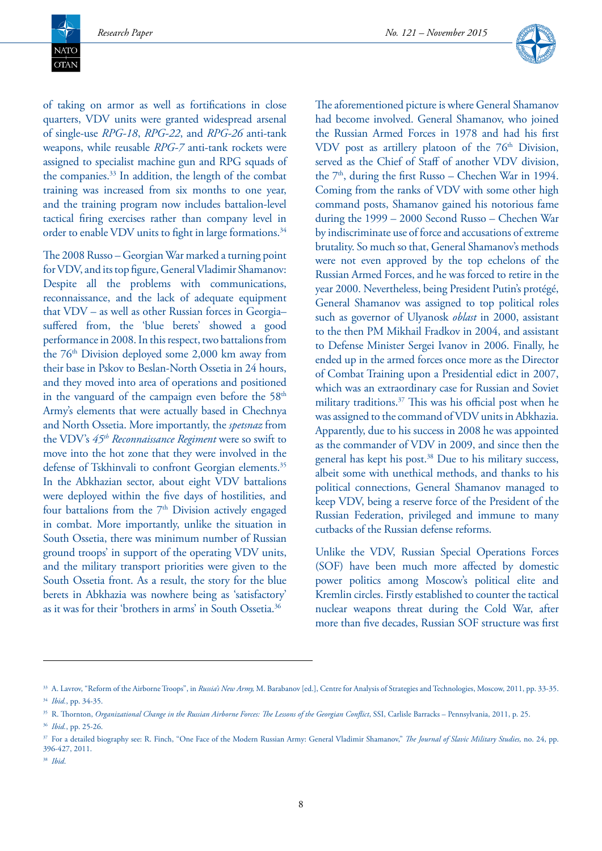**NATC**  $\overline{\text{OTAN}}$ 



of taking on armor as well as fortifications in close quarters, VDV units were granted widespread arsenal of single-use *RPG-18*, *RPG-22*, and *RPG-26* anti-tank weapons, while reusable *RPG-7* anti-tank rockets were assigned to specialist machine gun and RPG squads of the companies.33 In addition, the length of the combat training was increased from six months to one year, and the training program now includes battalion-level tactical firing exercises rather than company level in order to enable VDV units to fight in large formations.<sup>34</sup>

The 2008 Russo – Georgian War marked a turning point for VDV, and its top figure, General Vladimir Shamanov: Despite all the problems with communications, reconnaissance, and the lack of adequate equipment that VDV – as well as other Russian forces in Georgia– suffered from, the 'blue berets' showed a good performance in 2008. In this respect, two battalions from the 76th Division deployed some 2,000 km away from their base in Pskov to Beslan-North Ossetia in 24 hours, and they moved into area of operations and positioned in the vanguard of the campaign even before the  $58<sup>th</sup>$ Army's elements that were actually based in Chechnya and North Ossetia. More importantly, the *spetsnaz* from the VDV's *45th Reconnaissance Regiment* were so swift to move into the hot zone that they were involved in the defense of Tskhinvali to confront Georgian elements.<sup>35</sup> In the Abkhazian sector, about eight VDV battalions were deployed within the five days of hostilities, and four battalions from the  $7<sup>th</sup>$  Division actively engaged in combat. More importantly, unlike the situation in South Ossetia, there was minimum number of Russian ground troops' in support of the operating VDV units, and the military transport priorities were given to the South Ossetia front. As a result, the story for the blue berets in Abkhazia was nowhere being as 'satisfactory' as it was for their 'brothers in arms' in South Ossetia.36

The aforementioned picture is where General Shamanov had become involved. General Shamanov, who joined the Russian Armed Forces in 1978 and had his first VDV post as artillery platoon of the  $76<sup>th</sup>$  Division, served as the Chief of Staff of another VDV division, the  $7<sup>th</sup>$ , during the first Russo – Chechen War in 1994. Coming from the ranks of VDV with some other high command posts, Shamanov gained his notorious fame during the 1999 – 2000 Second Russo – Chechen War by indiscriminate use of force and accusations of extreme brutality. So much so that, General Shamanov's methods were not even approved by the top echelons of the Russian Armed Forces, and he was forced to retire in the year 2000. Nevertheless, being President Putin's protégé, General Shamanov was assigned to top political roles such as governor of Ulyanosk *oblast* in 2000, assistant to the then PM Mikhail Fradkov in 2004, and assistant to Defense Minister Sergei Ivanov in 2006. Finally, he ended up in the armed forces once more as the Director of Combat Training upon a Presidential edict in 2007, which was an extraordinary case for Russian and Soviet military traditions.37 This was his official post when he was assigned to the command of VDV units in Abkhazia. Apparently, due to his success in 2008 he was appointed as the commander of VDV in 2009, and since then the general has kept his post.<sup>38</sup> Due to his military success, albeit some with unethical methods, and thanks to his political connections, General Shamanov managed to keep VDV, being a reserve force of the President of the Russian Federation, privileged and immune to many cutbacks of the Russian defense reforms.

Unlike the VDV, Russian Special Operations Forces (SOF) have been much more affected by domestic power politics among Moscow's political elite and Kremlin circles. Firstly established to counter the tactical nuclear weapons threat during the Cold War, after more than five decades, Russian SOF structure was first

<sup>&</sup>lt;sup>33</sup> A. Lavrov, "Reform of the Airborne Troops", in *Russia's New Army, M. Barabanov* [ed.], Centre for Analysis of Strategies and Technologies, Moscow, 2011, pp. 33-35. <sup>34</sup> *Ibid.*, pp. 34-35.

<sup>&</sup>lt;sup>35</sup> R. Thornton, *Organizational Change in the Russian Airborne Forces: The Lessons of the Georgian Conflict*, SSI, Carlisle Barracks – Pennsylvania, 2011, p. 25. <sup>36</sup> *Ibid.*, pp. 25-26.

<sup>37</sup> For a detailed biography see: R. Finch, "One Face of the Modern Russian Army: General Vladimir Shamanov," *The Journal of Slavic Military Studies,* no. 24, pp. 396-427, 2011.

<sup>38</sup> *Ibid*.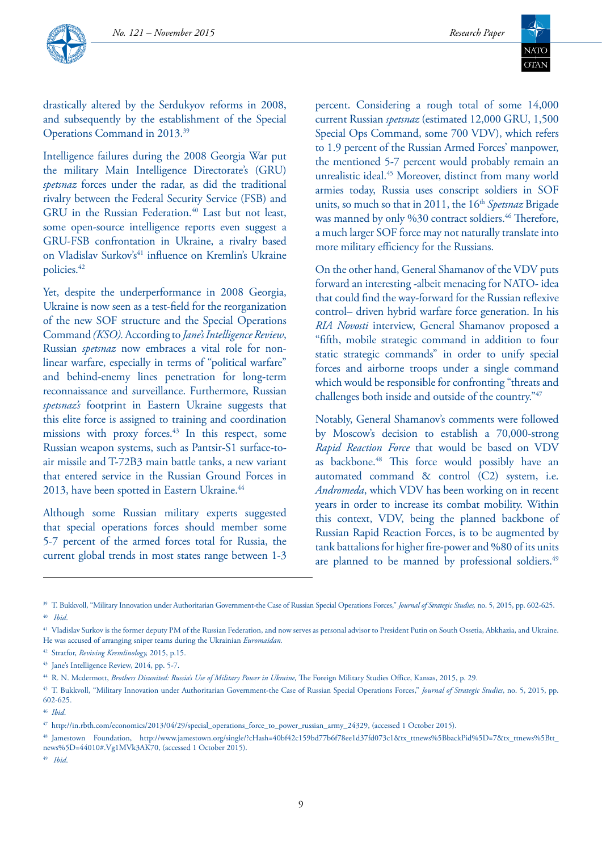

drastically altered by the Serdukyov reforms in 2008, and subsequently by the establishment of the Special Operations Command in 2013.39

Intelligence failures during the 2008 Georgia War put the military Main Intelligence Directorate's (GRU) *spetsnaz* forces under the radar, as did the traditional rivalry between the Federal Security Service (FSB) and GRU in the Russian Federation.<sup>40</sup> Last but not least, some open-source intelligence reports even suggest a GRU-FSB confrontation in Ukraine, a rivalry based on Vladislav Surkov's<sup>41</sup> influence on Kremlin's Ukraine policies.<sup>42</sup>

Yet, despite the underperformance in 2008 Georgia, Ukraine is now seen as a test-field for the reorganization of the new SOF structure and the Special Operations Command *(KSO).* According to *Jane's Intelligence Review*, Russian *spetsnaz* now embraces a vital role for nonlinear warfare, especially in terms of "political warfare" and behind-enemy lines penetration for long-term reconnaissance and surveillance. Furthermore, Russian *spetsnaz's* footprint in Eastern Ukraine suggests that this elite force is assigned to training and coordination missions with proxy forces.<sup>43</sup> In this respect, some Russian weapon systems, such as Pantsir-S1 surface-toair missile and T-72B3 main battle tanks, a new variant that entered service in the Russian Ground Forces in 2013, have been spotted in Eastern Ukraine.<sup>44</sup>

Although some Russian military experts suggested that special operations forces should member some 5-7 percent of the armed forces total for Russia, the current global trends in most states range between 1-3 percent. Considering a rough total of some 14,000 current Russian *spetsnaz* (estimated 12,000 GRU, 1,500 Special Ops Command, some 700 VDV), which refers to 1.9 percent of the Russian Armed Forces' manpower, the mentioned 5-7 percent would probably remain an unrealistic ideal.45 Moreover, distinct from many world armies today, Russia uses conscript soldiers in SOF units, so much so that in 2011, the 16<sup>th</sup> Spetsnaz Brigade was manned by only %30 contract soldiers.<sup>46</sup> Therefore, a much larger SOF force may not naturally translate into more military efficiency for the Russians.

On the other hand, General Shamanov of the VDV puts forward an interesting -albeit menacing for NATO- idea that could find the way-forward for the Russian reflexive control– driven hybrid warfare force generation. In his *RIA Novosti* interview, General Shamanov proposed a "fifth, mobile strategic command in addition to four static strategic commands" in order to unify special forces and airborne troops under a single command which would be responsible for confronting "threats and challenges both inside and outside of the country."47

Notably, General Shamanov's comments were followed by Moscow's decision to establish a 70,000-strong *Rapid Reaction Force* that would be based on VDV as backbone.<sup>48</sup> This force would possibly have an automated command & control (C2) system, i.e. *Andromeda*, which VDV has been working on in recent years in order to increase its combat mobility. Within this context, VDV, being the planned backbone of Russian Rapid Reaction Forces, is to be augmented by tank battalions for higher fire-power and %80 of its units are planned to be manned by professional soldiers.<sup>49</sup>

<sup>39</sup> T. Bukkvoll, "Military Innovation under Authoritarian Government-the Case of Russian Special Operations Forces," *Journal of Strategic Studies,* no. 5, 2015, pp. 602-625. <sup>40</sup> *Ibid*.

<sup>41</sup> Vladislav Surkov is the former deputy PM of the Russian Federation, and now serves as personal advisor to President Putin on South Ossetia, Abkhazia, and Ukraine. He was accused of arranging sniper teams during the Ukrainian *Euromaidan.* 

<sup>42</sup> Stratfor, *Reviving Kremlinology,* 2015, p.15.

<sup>43</sup> Jane's Intelligence Review, 2014, pp. 5-7.

<sup>44</sup> R. N. Mcdermott, *Brothers Disunited: Russia's Use of Military Power in Ukraine,* The Foreign Military Studies Office, Kansas, 2015, p. 29.

<sup>45</sup> T. Bukkvoll, "Military Innovation under Authoritarian Government-the Case of Russian Special Operations Forces," *Journal of Strategic Studies*, no. 5, 2015, pp. 602-625.

<sup>46</sup> *Ibid*.

<sup>47</sup> http://in.rbth.com/economics/2013/04/29/special\_operations\_force\_to\_power\_russian\_army\_24329, (accessed 1 October 2015).

<sup>48</sup> Jamestown Foundation, http://www.jamestown.org/single/?cHash=40bf42c159bd77b6f78ee1d37fd073c1&tx\_ttnews%5BbackPid%5D=7&tx\_ttnews%5Btt\_ news%5D=44010#.Vg1MVk3AK70, (accessed 1 October 2015).

<sup>49</sup> *Ibid*.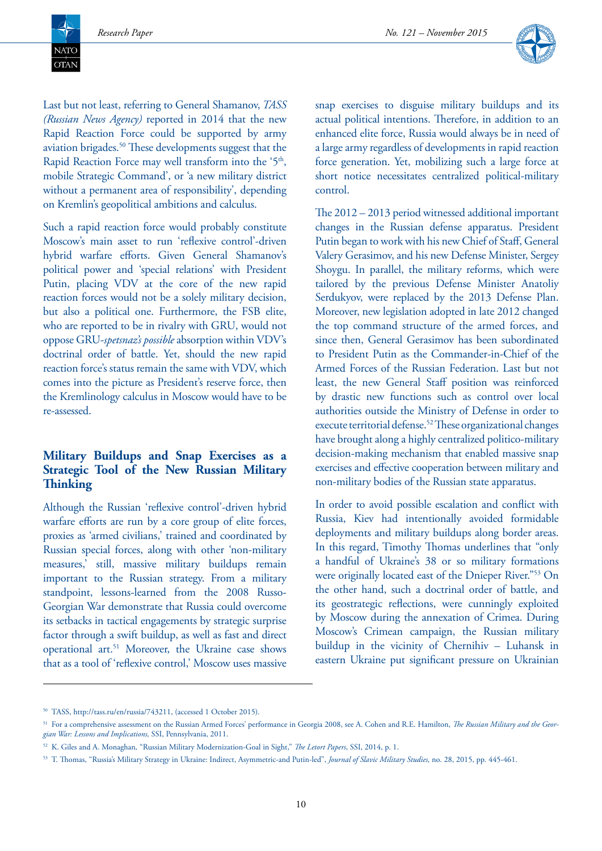**NATC**  $\overline{\text{OTAN}}$ 



Last but not least, referring to General Shamanov, *TASS (Russian News Agency)* reported in 2014 that the new Rapid Reaction Force could be supported by army aviation brigades.50 These developments suggest that the Rapid Reaction Force may well transform into the '5<sup>th</sup>, mobile Strategic Command', or 'a new military district without a permanent area of responsibility', depending on Kremlin's geopolitical ambitions and calculus.

Such a rapid reaction force would probably constitute Moscow's main asset to run 'reflexive control'-driven hybrid warfare efforts. Given General Shamanov's political power and 'special relations' with President Putin, placing VDV at the core of the new rapid reaction forces would not be a solely military decision, but also a political one. Furthermore, the FSB elite, who are reported to be in rivalry with GRU, would not oppose GRU-*spetsnaz's possible* absorption within VDV's doctrinal order of battle. Yet, should the new rapid reaction force's status remain the same with VDV, which comes into the picture as President's reserve force, then the Kremlinology calculus in Moscow would have to be re-assessed.

# **Military Buildups and Snap Exercises as a Strategic Tool of the New Russian Military Thinking**

Although the Russian 'reflexive control'-driven hybrid warfare efforts are run by a core group of elite forces, proxies as 'armed civilians,' trained and coordinated by Russian special forces, along with other 'non-military measures,' still, massive military buildups remain important to the Russian strategy. From a military standpoint, lessons-learned from the 2008 Russo-Georgian War demonstrate that Russia could overcome its setbacks in tactical engagements by strategic surprise factor through a swift buildup, as well as fast and direct operational art.51 Moreover, the Ukraine case shows that as a tool of 'reflexive control,' Moscow uses massive

snap exercises to disguise military buildups and its actual political intentions. Therefore, in addition to an enhanced elite force, Russia would always be in need of a large army regardless of developments in rapid reaction force generation. Yet, mobilizing such a large force at short notice necessitates centralized political-military control.

The 2012 – 2013 period witnessed additional important changes in the Russian defense apparatus. President Putin began to work with his new Chief of Staff, General Valery Gerasimov, and his new Defense Minister, Sergey Shoygu. In parallel, the military reforms, which were tailored by the previous Defense Minister Anatoliy Serdukyov, were replaced by the 2013 Defense Plan. Moreover, new legislation adopted in late 2012 changed the top command structure of the armed forces, and since then, General Gerasimov has been subordinated to President Putin as the Commander-in-Chief of the Armed Forces of the Russian Federation. Last but not least, the new General Staff position was reinforced by drastic new functions such as control over local authorities outside the Ministry of Defense in order to execute territorial defense.52 These organizational changes have brought along a highly centralized politico-military decision-making mechanism that enabled massive snap exercises and effective cooperation between military and non-military bodies of the Russian state apparatus.

In order to avoid possible escalation and conflict with Russia, Kiev had intentionally avoided formidable deployments and military buildups along border areas. In this regard, Timothy Thomas underlines that "only a handful of Ukraine's 38 or so military formations were originally located east of the Dnieper River."53 On the other hand, such a doctrinal order of battle, and its geostrategic reflections, were cunningly exploited by Moscow during the annexation of Crimea. During Moscow's Crimean campaign, the Russian military buildup in the vicinity of Chernihiv – Luhansk in eastern Ukraine put significant pressure on Ukrainian

<sup>50</sup> TASS, http://tass.ru/en/russia/743211, (accessed 1 October 2015).

<sup>51</sup> For a comprehensive assessment on the Russian Armed Forces' performance in Georgia 2008, see A. Cohen and R.E. Hamilton, *The Russian Military and the Georgian War: Lessons and Implications,* SSI, Pennsylvania, 2011.

<sup>52</sup> K. Giles and A. Monaghan*,* "Russian Military Modernization-Goal in Sight," *The Letort Papers*, SSI, 2014, p. 1.

<sup>53</sup> T. Thomas, "Russia's Military Strategy in Ukraine: Indirect, Asymmetric-and Putin-led", *Journal of Slavic Military Studies,* no. 28, 2015, pp*.* 445-461.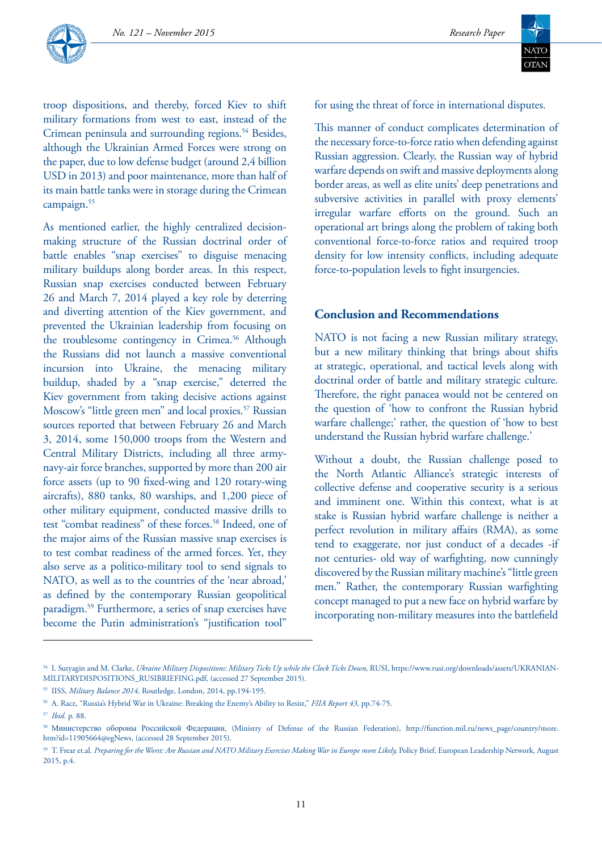



troop dispositions, and thereby, forced Kiev to shift military formations from west to east, instead of the Crimean peninsula and surrounding regions.<sup>54</sup> Besides, although the Ukrainian Armed Forces were strong on the paper, due to low defense budget (around 2,4 billion USD in 2013) and poor maintenance, more than half of its main battle tanks were in storage during the Crimean campaign.<sup>55</sup>

As mentioned earlier, the highly centralized decisionmaking structure of the Russian doctrinal order of battle enables "snap exercises" to disguise menacing military buildups along border areas. In this respect, Russian snap exercises conducted between February 26 and March 7, 2014 played a key role by deterring and diverting attention of the Kiev government, and prevented the Ukrainian leadership from focusing on the troublesome contingency in Crimea.<sup>56</sup> Although the Russians did not launch a massive conventional incursion into Ukraine, the menacing military buildup, shaded by a "snap exercise," deterred the Kiev government from taking decisive actions against Moscow's "little green men" and local proxies.<sup>57</sup> Russian sources reported that between February 26 and March 3, 2014, some 150,000 troops from the Western and Central Military Districts, including all three armynavy-air force branches, supported by more than 200 air force assets (up to 90 fixed-wing and 120 rotary-wing aircrafts), 880 tanks, 80 warships, and 1,200 piece of other military equipment, conducted massive drills to test "combat readiness" of these forces.<sup>58</sup> Indeed, one of the major aims of the Russian massive snap exercises is to test combat readiness of the armed forces. Yet, they also serve as a politico-military tool to send signals to NATO, as well as to the countries of the 'near abroad,' as defined by the contemporary Russian geopolitical paradigm.59 Furthermore, a series of snap exercises have become the Putin administration's "justification tool"

for using the threat of force in international disputes.

This manner of conduct complicates determination of the necessary force-to-force ratio when defending against Russian aggression. Clearly, the Russian way of hybrid warfare depends on swift and massive deployments along border areas, as well as elite units' deep penetrations and subversive activities in parallel with proxy elements' irregular warfare efforts on the ground. Such an operational art brings along the problem of taking both conventional force-to-force ratios and required troop density for low intensity conflicts, including adequate force-to-population levels to fight insurgencies.

#### **Conclusion and Recommendations**

NATO is not facing a new Russian military strategy, but a new military thinking that brings about shifts at strategic, operational, and tactical levels along with doctrinal order of battle and military strategic culture. Therefore, the right panacea would not be centered on the question of 'how to confront the Russian hybrid warfare challenge;' rather, the question of 'how to best understand the Russian hybrid warfare challenge.'

Without a doubt, the Russian challenge posed to the North Atlantic Alliance's strategic interests of collective defense and cooperative security is a serious and imminent one. Within this context, what is at stake is Russian hybrid warfare challenge is neither a perfect revolution in military affairs (RMA), as some tend to exaggerate, nor just conduct of a decades -if not centuries- old way of warfighting, now cunningly discovered by the Russian military machine's "little green men." Rather, the contemporary Russian warfighting concept managed to put a new face on hybrid warfare by incorporating non-military measures into the battlefield

<sup>54</sup> I. Sutyagin and M. Clarke, *Ukraine Military Dispositions: Military Ticks Up while the Clock Ticks Down,* RUSI, https://www.rusi.org/downloads/assets/UKRANIAN-MILITARYDISPOSITIONS\_RUSIBRIEFING.pdf, (accessed 27 September 2015).

<sup>55</sup> IISS, *Military Balance 2014,* Routledge, London, 2014, pp.194-195.

<sup>56</sup> A. Racz, "Russia's Hybrid War in Ukraine: Breaking the Enemy's Ability to Resist," *FIIA Report 43*, pp.74-75.

<sup>57</sup> *Ibid*. p. 88.

<sup>58</sup> Министерство обороны Российской Федерации, (Ministry of Defense of the Russian Federation), http://function.mil.ru/news\_page/country/more. htm?id=11905664@egNews, (accessed 28 September 2015).

<sup>&</sup>lt;sup>59</sup> T. Frear et.al. Preparing for the Worst: Are Russian and NATO Military Exercises Making War in Europe more Likely, Policy Brief, European Leadership Network, August 2015, p.4.